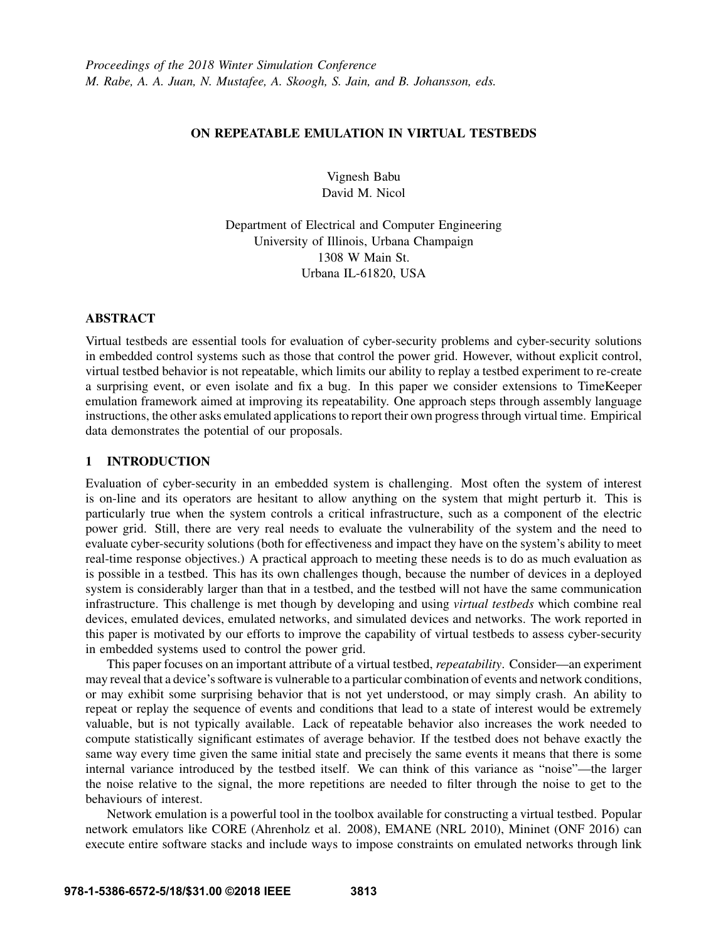## ON REPEATABLE EMULATION IN VIRTUAL TESTBEDS

Vignesh Babu David M. Nicol

Department of Electrical and Computer Engineering University of Illinois, Urbana Champaign 1308 W Main St. Urbana IL-61820, USA

#### ABSTRACT

Virtual testbeds are essential tools for evaluation of cyber-security problems and cyber-security solutions in embedded control systems such as those that control the power grid. However, without explicit control, virtual testbed behavior is not repeatable, which limits our ability to replay a testbed experiment to re-create a surprising event, or even isolate and fix a bug. In this paper we consider extensions to TimeKeeper emulation framework aimed at improving its repeatability. One approach steps through assembly language instructions, the other asks emulated applications to report their own progress through virtual time. Empirical data demonstrates the potential of our proposals.

### 1 INTRODUCTION

Evaluation of cyber-security in an embedded system is challenging. Most often the system of interest is on-line and its operators are hesitant to allow anything on the system that might perturb it. This is particularly true when the system controls a critical infrastructure, such as a component of the electric power grid. Still, there are very real needs to evaluate the vulnerability of the system and the need to evaluate cyber-security solutions (both for effectiveness and impact they have on the system's ability to meet real-time response objectives.) A practical approach to meeting these needs is to do as much evaluation as is possible in a testbed. This has its own challenges though, because the number of devices in a deployed system is considerably larger than that in a testbed, and the testbed will not have the same communication infrastructure. This challenge is met though by developing and using *virtual testbeds* which combine real devices, emulated devices, emulated networks, and simulated devices and networks. The work reported in this paper is motivated by our efforts to improve the capability of virtual testbeds to assess cyber-security in embedded systems used to control the power grid.

This paper focuses on an important attribute of a virtual testbed, *repeatability*. Consider—an experiment may reveal that a device's software is vulnerable to a particular combination of events and network conditions, or may exhibit some surprising behavior that is not yet understood, or may simply crash. An ability to repeat or replay the sequence of events and conditions that lead to a state of interest would be extremely valuable, but is not typically available. Lack of repeatable behavior also increases the work needed to compute statistically significant estimates of average behavior. If the testbed does not behave exactly the same way every time given the same initial state and precisely the same events it means that there is some internal variance introduced by the testbed itself. We can think of this variance as "noise"—the larger the noise relative to the signal, the more repetitions are needed to filter through the noise to get to the behaviours of interest.

Network emulation is a powerful tool in the toolbox available for constructing a virtual testbed. Popular network emulators like CORE (Ahrenholz et al. 2008), EMANE (NRL 2010), Mininet (ONF 2016) can execute entire software stacks and include ways to impose constraints on emulated networks through link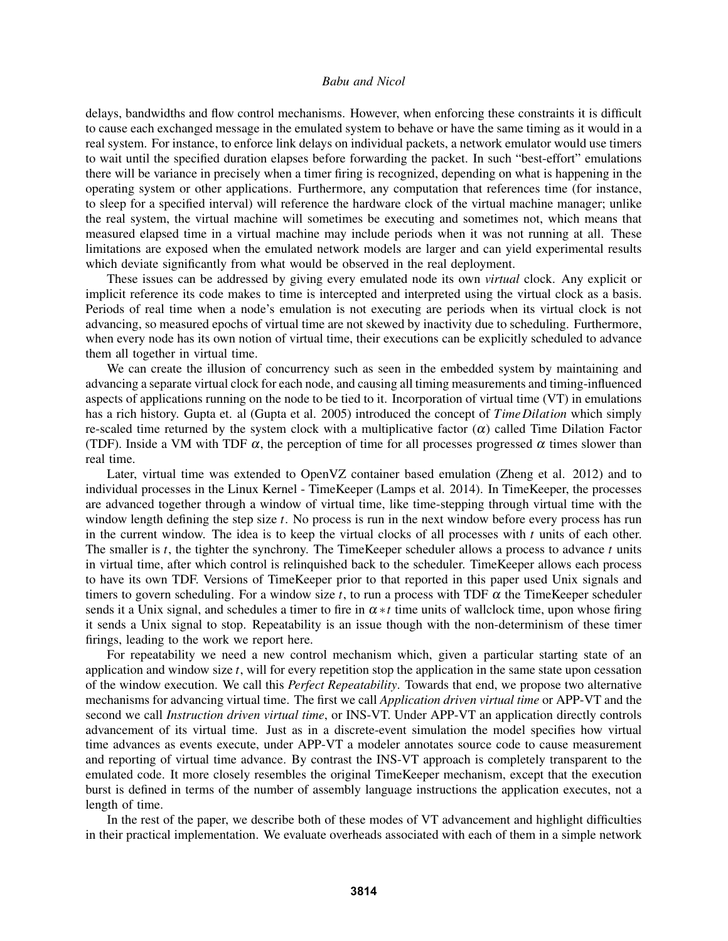delays, bandwidths and flow control mechanisms. However, when enforcing these constraints it is difficult to cause each exchanged message in the emulated system to behave or have the same timing as it would in a real system. For instance, to enforce link delays on individual packets, a network emulator would use timers to wait until the specified duration elapses before forwarding the packet. In such "best-effort" emulations there will be variance in precisely when a timer firing is recognized, depending on what is happening in the operating system or other applications. Furthermore, any computation that references time (for instance, to sleep for a specified interval) will reference the hardware clock of the virtual machine manager; unlike the real system, the virtual machine will sometimes be executing and sometimes not, which means that measured elapsed time in a virtual machine may include periods when it was not running at all. These limitations are exposed when the emulated network models are larger and can yield experimental results which deviate significantly from what would be observed in the real deployment.

These issues can be addressed by giving every emulated node its own *virtual* clock. Any explicit or implicit reference its code makes to time is intercepted and interpreted using the virtual clock as a basis. Periods of real time when a node's emulation is not executing are periods when its virtual clock is not advancing, so measured epochs of virtual time are not skewed by inactivity due to scheduling. Furthermore, when every node has its own notion of virtual time, their executions can be explicitly scheduled to advance them all together in virtual time.

We can create the illusion of concurrency such as seen in the embedded system by maintaining and advancing a separate virtual clock for each node, and causing all timing measurements and timing-influenced aspects of applications running on the node to be tied to it. Incorporation of virtual time (VT) in emulations has a rich history. Gupta et. al (Gupta et al. 2005) introduced the concept of *Time Dilation* which simply re-scaled time returned by the system clock with a multiplicative factor  $(\alpha)$  called Time Dilation Factor (TDF). Inside a VM with TDF  $\alpha$ , the perception of time for all processes progressed  $\alpha$  times slower than real time.

Later, virtual time was extended to OpenVZ container based emulation (Zheng et al. 2012) and to individual processes in the Linux Kernel - TimeKeeper (Lamps et al. 2014). In TimeKeeper, the processes are advanced together through a window of virtual time, like time-stepping through virtual time with the window length defining the step size *t*. No process is run in the next window before every process has run in the current window. The idea is to keep the virtual clocks of all processes with  $t$  units of each other. The smaller is *t*, the tighter the synchrony. The TimeKeeper scheduler allows a process to advance *t* units in virtual time, after which control is relinquished back to the scheduler. TimeKeeper allows each process to have its own TDF. Versions of TimeKeeper prior to that reported in this paper used Unix signals and timers to govern scheduling. For a window size  $t$ , to run a process with TDF  $\alpha$  the TimeKeeper scheduler sends it a Unix signal, and schedules a timer to fire in  $\alpha * t$  time units of wallclock time, upon whose firing it sends a Unix signal to stop. Repeatability is an issue though with the non-determinism of these timer firings, leading to the work we report here.

For repeatability we need a new control mechanism which, given a particular starting state of an application and window size *t*, will for every repetition stop the application in the same state upon cessation of the window execution. We call this *Perfect Repeatability*. Towards that end, we propose two alternative mechanisms for advancing virtual time. The first we call *Application driven virtual time* or APP-VT and the second we call *Instruction driven virtual time*, or INS-VT. Under APP-VT an application directly controls advancement of its virtual time. Just as in a discrete-event simulation the model specifies how virtual time advances as events execute, under APP-VT a modeler annotates source code to cause measurement and reporting of virtual time advance. By contrast the INS-VT approach is completely transparent to the emulated code. It more closely resembles the original TimeKeeper mechanism, except that the execution burst is defined in terms of the number of assembly language instructions the application executes, not a length of time.

In the rest of the paper, we describe both of these modes of VT advancement and highlight difficulties in their practical implementation. We evaluate overheads associated with each of them in a simple network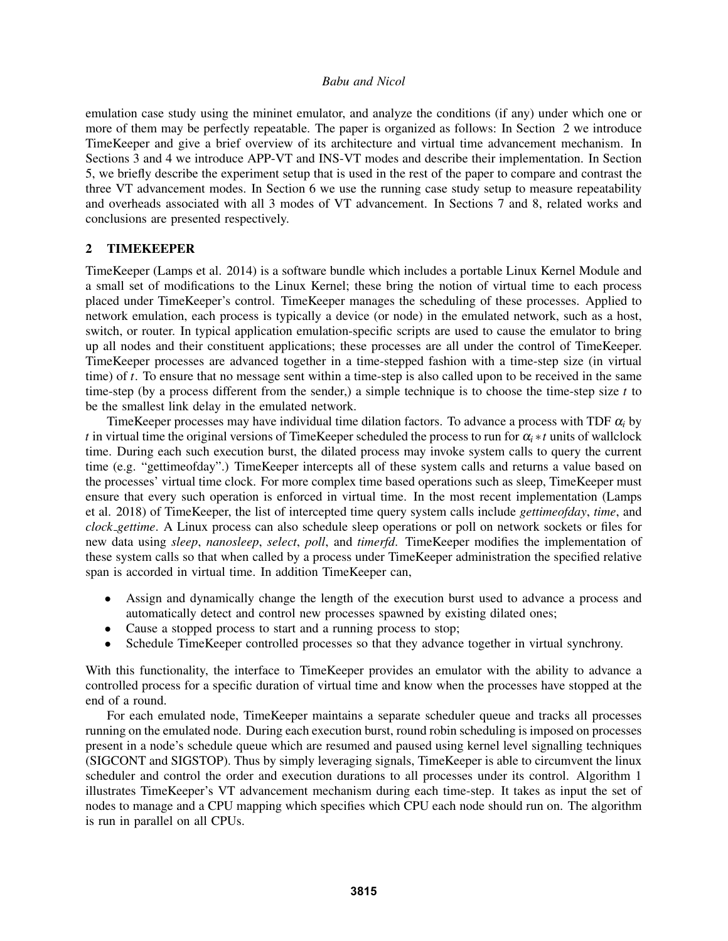emulation case study using the mininet emulator, and analyze the conditions (if any) under which one or more of them may be perfectly repeatable. The paper is organized as follows: In Section 2 we introduce TimeKeeper and give a brief overview of its architecture and virtual time advancement mechanism. In Sections 3 and 4 we introduce APP-VT and INS-VT modes and describe their implementation. In Section 5, we briefly describe the experiment setup that is used in the rest of the paper to compare and contrast the three VT advancement modes. In Section 6 we use the running case study setup to measure repeatability and overheads associated with all 3 modes of VT advancement. In Sections 7 and 8, related works and conclusions are presented respectively.

# 2 TIMEKEEPER

TimeKeeper (Lamps et al. 2014) is a software bundle which includes a portable Linux Kernel Module and a small set of modifications to the Linux Kernel; these bring the notion of virtual time to each process placed under TimeKeeper's control. TimeKeeper manages the scheduling of these processes. Applied to network emulation, each process is typically a device (or node) in the emulated network, such as a host, switch, or router. In typical application emulation-specific scripts are used to cause the emulator to bring up all nodes and their constituent applications; these processes are all under the control of TimeKeeper. TimeKeeper processes are advanced together in a time-stepped fashion with a time-step size (in virtual time) of *t*. To ensure that no message sent within a time-step is also called upon to be received in the same time-step (by a process different from the sender,) a simple technique is to choose the time-step size *t* to be the smallest link delay in the emulated network.

TimeKeeper processes may have individual time dilation factors. To advance a process with TDF  $\alpha_i$  by *t* in virtual time the original versions of TimeKeeper scheduled the process to run for  $\alpha_i * t$  units of wallclock time. During each such execution burst, the dilated process may invoke system calls to query the current time (e.g. "gettimeofday".) TimeKeeper intercepts all of these system calls and returns a value based on the processes' virtual time clock. For more complex time based operations such as sleep, TimeKeeper must ensure that every such operation is enforced in virtual time. In the most recent implementation (Lamps et al. 2018) of TimeKeeper, the list of intercepted time query system calls include *gettimeofday*, *time*, and *clock gettime*. A Linux process can also schedule sleep operations or poll on network sockets or files for new data using *sleep*, *nanosleep*, *select*, *poll*, and *timerfd*. TimeKeeper modifies the implementation of these system calls so that when called by a process under TimeKeeper administration the specified relative span is accorded in virtual time. In addition TimeKeeper can,

- Assign and dynamically change the length of the execution burst used to advance a process and automatically detect and control new processes spawned by existing dilated ones;
- Cause a stopped process to start and a running process to stop;
- Schedule TimeKeeper controlled processes so that they advance together in virtual synchrony.

With this functionality, the interface to TimeKeeper provides an emulator with the ability to advance a controlled process for a specific duration of virtual time and know when the processes have stopped at the end of a round.

For each emulated node, TimeKeeper maintains a separate scheduler queue and tracks all processes running on the emulated node. During each execution burst, round robin scheduling is imposed on processes present in a node's schedule queue which are resumed and paused using kernel level signalling techniques (SIGCONT and SIGSTOP). Thus by simply leveraging signals, TimeKeeper is able to circumvent the linux scheduler and control the order and execution durations to all processes under its control. Algorithm 1 illustrates TimeKeeper's VT advancement mechanism during each time-step. It takes as input the set of nodes to manage and a CPU mapping which specifies which CPU each node should run on. The algorithm is run in parallel on all CPUs.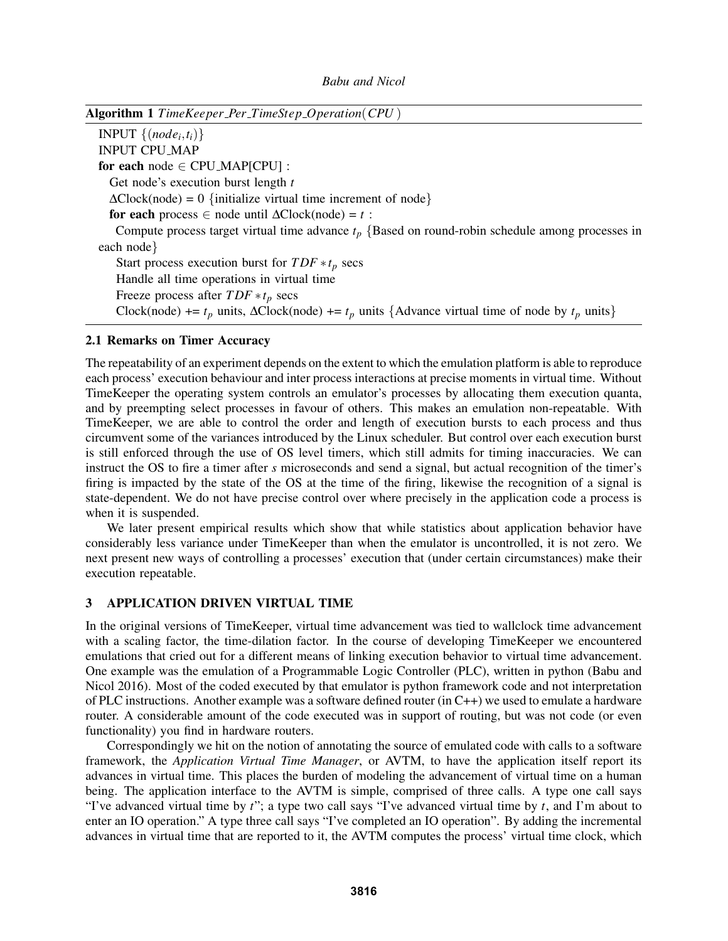Algorithm 1 *TimeKeeper Per TimeStep Operation*(*CPU* )

INPUT  $\{(node_i, t_i)\}$ INPUT CPU MAP for each node  $\in$  CPU\_MAP[CPU] : Get node's execution burst length *t*  $\Delta$ Clock(node) = 0 {initialize virtual time increment of node} for each process  $∈$  node until  $ΔClock(node) = t$ : Compute process target virtual time advance *t<sup>p</sup>* {Based on round-robin schedule among processes in each node} Start process execution burst for  $TDF * t_p$  secs Handle all time operations in virtual time Freeze process after *T DF* ∗*t<sup>p</sup>* secs Clock(node) +=  $t_p$  units,  $\Delta$ Clock(node) +=  $t_p$  units {Advance virtual time of node by  $t_p$  units}

### 2.1 Remarks on Timer Accuracy

The repeatability of an experiment depends on the extent to which the emulation platform is able to reproduce each process' execution behaviour and inter process interactions at precise moments in virtual time. Without TimeKeeper the operating system controls an emulator's processes by allocating them execution quanta, and by preempting select processes in favour of others. This makes an emulation non-repeatable. With TimeKeeper, we are able to control the order and length of execution bursts to each process and thus circumvent some of the variances introduced by the Linux scheduler. But control over each execution burst is still enforced through the use of OS level timers, which still admits for timing inaccuracies. We can instruct the OS to fire a timer after *s* microseconds and send a signal, but actual recognition of the timer's firing is impacted by the state of the OS at the time of the firing, likewise the recognition of a signal is state-dependent. We do not have precise control over where precisely in the application code a process is when it is suspended.

We later present empirical results which show that while statistics about application behavior have considerably less variance under TimeKeeper than when the emulator is uncontrolled, it is not zero. We next present new ways of controlling a processes' execution that (under certain circumstances) make their execution repeatable.

### 3 APPLICATION DRIVEN VIRTUAL TIME

In the original versions of TimeKeeper, virtual time advancement was tied to wallclock time advancement with a scaling factor, the time-dilation factor. In the course of developing TimeKeeper we encountered emulations that cried out for a different means of linking execution behavior to virtual time advancement. One example was the emulation of a Programmable Logic Controller (PLC), written in python (Babu and Nicol 2016). Most of the coded executed by that emulator is python framework code and not interpretation of PLC instructions. Another example was a software defined router (in C++) we used to emulate a hardware router. A considerable amount of the code executed was in support of routing, but was not code (or even functionality) you find in hardware routers.

Correspondingly we hit on the notion of annotating the source of emulated code with calls to a software framework, the *Application Virtual Time Manager*, or AVTM, to have the application itself report its advances in virtual time. This places the burden of modeling the advancement of virtual time on a human being. The application interface to the AVTM is simple, comprised of three calls. A type one call says "I've advanced virtual time by *t*"; a type two call says "I've advanced virtual time by *t*, and I'm about to enter an IO operation." A type three call says "I've completed an IO operation". By adding the incremental advances in virtual time that are reported to it, the AVTM computes the process' virtual time clock, which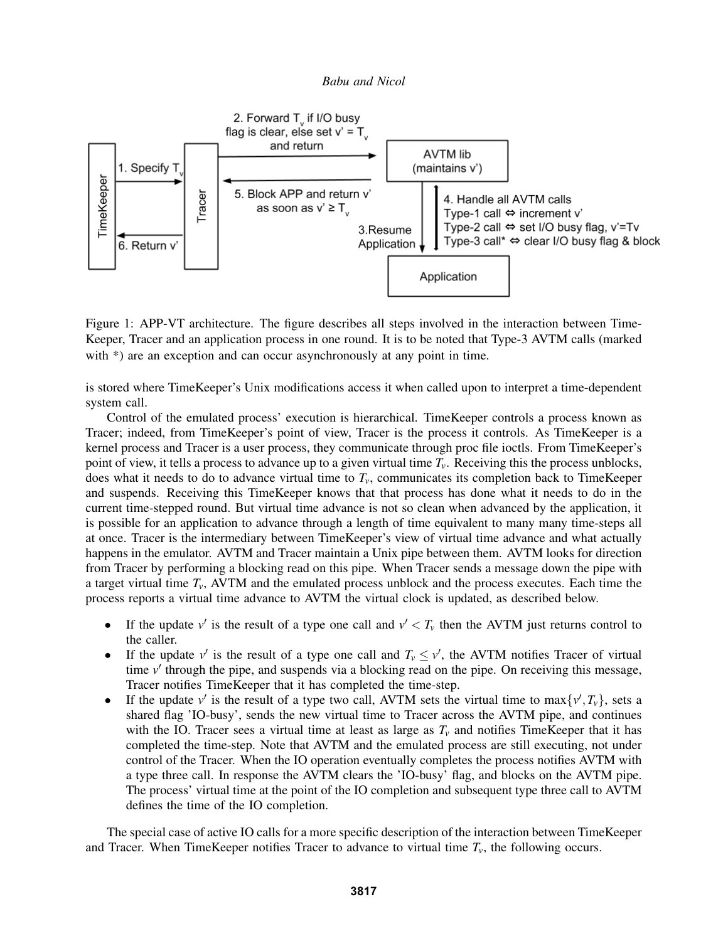

Figure 1: APP-VT architecture. The figure describes all steps involved in the interaction between Time-Keeper, Tracer and an application process in one round. It is to be noted that Type-3 AVTM calls (marked with \*) are an exception and can occur asynchronously at any point in time.

is stored where TimeKeeper's Unix modifications access it when called upon to interpret a time-dependent system call.

Control of the emulated process' execution is hierarchical. TimeKeeper controls a process known as Tracer; indeed, from TimeKeeper's point of view, Tracer is the process it controls. As TimeKeeper is a kernel process and Tracer is a user process, they communicate through proc file ioctls. From TimeKeeper's point of view, it tells a process to advance up to a given virtual time  $T_v$ . Receiving this the process unblocks, does what it needs to do to advance virtual time to  $T_v$ , communicates its completion back to TimeKeeper and suspends. Receiving this TimeKeeper knows that that process has done what it needs to do in the current time-stepped round. But virtual time advance is not so clean when advanced by the application, it is possible for an application to advance through a length of time equivalent to many many time-steps all at once. Tracer is the intermediary between TimeKeeper's view of virtual time advance and what actually happens in the emulator. AVTM and Tracer maintain a Unix pipe between them. AVTM looks for direction from Tracer by performing a blocking read on this pipe. When Tracer sends a message down the pipe with a target virtual time  $T_v$ , AVTM and the emulated process unblock and the process executes. Each time the process reports a virtual time advance to AVTM the virtual clock is updated, as described below.

- If the update  $v'$  is the result of a type one call and  $v' < T_v$  then the AVTM just returns control to the caller.
- If the update  $v'$  is the result of a type one call and  $T_v \le v'$ , the AVTM notifies Tracer of virtual time v' through the pipe, and suspends via a blocking read on the pipe. On receiving this message, Tracer notifies TimeKeeper that it has completed the time-step.
- If the update  $v'$  is the result of a type two call, AVTM sets the virtual time to max $\{v', T_v\}$ , sets a shared flag 'IO-busy', sends the new virtual time to Tracer across the AVTM pipe, and continues with the IO. Tracer sees a virtual time at least as large as  $T<sub>v</sub>$  and notifies TimeKeeper that it has completed the time-step. Note that AVTM and the emulated process are still executing, not under control of the Tracer. When the IO operation eventually completes the process notifies AVTM with a type three call. In response the AVTM clears the 'IO-busy' flag, and blocks on the AVTM pipe. The process' virtual time at the point of the IO completion and subsequent type three call to AVTM defines the time of the IO completion.

The special case of active IO calls for a more specific description of the interaction between TimeKeeper and Tracer. When TimeKeeper notifies Tracer to advance to virtual time *Tv*, the following occurs.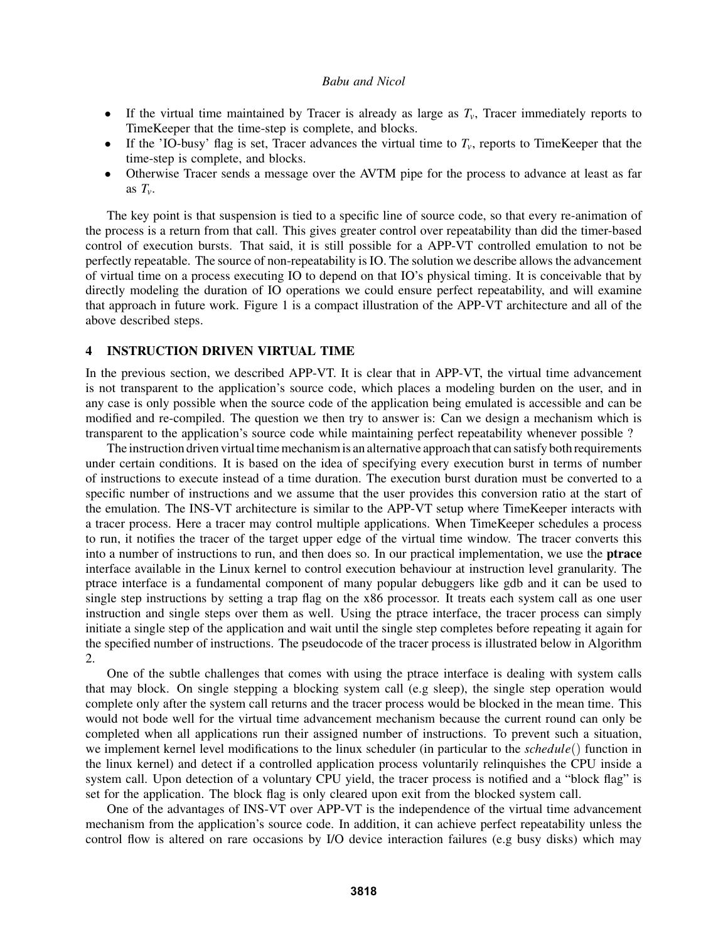- If the virtual time maintained by Tracer is already as large as  $T_v$ , Tracer immediately reports to TimeKeeper that the time-step is complete, and blocks.
- If the 'IO-busy' flag is set, Tracer advances the virtual time to  $T_v$ , reports to TimeKeeper that the time-step is complete, and blocks.
- Otherwise Tracer sends a message over the AVTM pipe for the process to advance at least as far as  $T_v$ .

The key point is that suspension is tied to a specific line of source code, so that every re-animation of the process is a return from that call. This gives greater control over repeatability than did the timer-based control of execution bursts. That said, it is still possible for a APP-VT controlled emulation to not be perfectly repeatable. The source of non-repeatability is IO. The solution we describe allows the advancement of virtual time on a process executing IO to depend on that IO's physical timing. It is conceivable that by directly modeling the duration of IO operations we could ensure perfect repeatability, and will examine that approach in future work. Figure 1 is a compact illustration of the APP-VT architecture and all of the above described steps.

### 4 INSTRUCTION DRIVEN VIRTUAL TIME

In the previous section, we described APP-VT. It is clear that in APP-VT, the virtual time advancement is not transparent to the application's source code, which places a modeling burden on the user, and in any case is only possible when the source code of the application being emulated is accessible and can be modified and re-compiled. The question we then try to answer is: Can we design a mechanism which is transparent to the application's source code while maintaining perfect repeatability whenever possible ?

The instruction driven virtual time mechanism is an alternative approach that can satisfy both requirements under certain conditions. It is based on the idea of specifying every execution burst in terms of number of instructions to execute instead of a time duration. The execution burst duration must be converted to a specific number of instructions and we assume that the user provides this conversion ratio at the start of the emulation. The INS-VT architecture is similar to the APP-VT setup where TimeKeeper interacts with a tracer process. Here a tracer may control multiple applications. When TimeKeeper schedules a process to run, it notifies the tracer of the target upper edge of the virtual time window. The tracer converts this into a number of instructions to run, and then does so. In our practical implementation, we use the ptrace interface available in the Linux kernel to control execution behaviour at instruction level granularity. The ptrace interface is a fundamental component of many popular debuggers like gdb and it can be used to single step instructions by setting a trap flag on the x86 processor. It treats each system call as one user instruction and single steps over them as well. Using the ptrace interface, the tracer process can simply initiate a single step of the application and wait until the single step completes before repeating it again for the specified number of instructions. The pseudocode of the tracer process is illustrated below in Algorithm 2.

One of the subtle challenges that comes with using the ptrace interface is dealing with system calls that may block. On single stepping a blocking system call (e.g sleep), the single step operation would complete only after the system call returns and the tracer process would be blocked in the mean time. This would not bode well for the virtual time advancement mechanism because the current round can only be completed when all applications run their assigned number of instructions. To prevent such a situation, we implement kernel level modifications to the linux scheduler (in particular to the *schedule*() function in the linux kernel) and detect if a controlled application process voluntarily relinquishes the CPU inside a system call. Upon detection of a voluntary CPU yield, the tracer process is notified and a "block flag" is set for the application. The block flag is only cleared upon exit from the blocked system call.

One of the advantages of INS-VT over APP-VT is the independence of the virtual time advancement mechanism from the application's source code. In addition, it can achieve perfect repeatability unless the control flow is altered on rare occasions by I/O device interaction failures (e.g busy disks) which may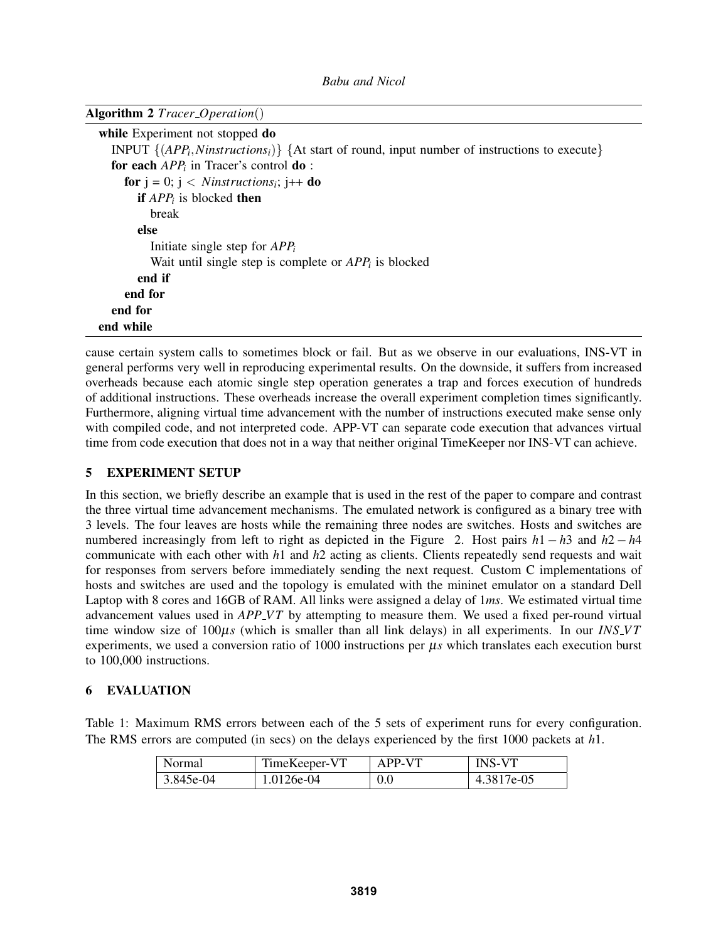|  |  |  | <b>Algorithm 2</b> Tracer_Operation() |
|--|--|--|---------------------------------------|
|--|--|--|---------------------------------------|

| while Experiment not stopped do                                                                    |
|----------------------------------------------------------------------------------------------------|
| INPUT $\{(APP_i, N instructions_i)\}$ {At start of round, input number of instructions to execute} |
| for each $APPi$ in Tracer's control <b>do</b> :                                                    |
| <b>for</b> $j = 0$ ; $j <$ <i>Ninstructions<sub>i</sub></i> ; $j++$ <b>do</b>                      |
| <b>if</b> $APP_i$ is blocked <b>then</b>                                                           |
| break                                                                                              |
| else                                                                                               |
| Initiate single step for $APP_i$                                                                   |
| Wait until single step is complete or $APP_i$ is blocked                                           |
| end if                                                                                             |
| end for                                                                                            |
| end for                                                                                            |
| end while                                                                                          |

cause certain system calls to sometimes block or fail. But as we observe in our evaluations, INS-VT in general performs very well in reproducing experimental results. On the downside, it suffers from increased overheads because each atomic single step operation generates a trap and forces execution of hundreds of additional instructions. These overheads increase the overall experiment completion times significantly. Furthermore, aligning virtual time advancement with the number of instructions executed make sense only with compiled code, and not interpreted code. APP-VT can separate code execution that advances virtual time from code execution that does not in a way that neither original TimeKeeper nor INS-VT can achieve.

# 5 EXPERIMENT SETUP

In this section, we briefly describe an example that is used in the rest of the paper to compare and contrast the three virtual time advancement mechanisms. The emulated network is configured as a binary tree with 3 levels. The four leaves are hosts while the remaining three nodes are switches. Hosts and switches are numbered increasingly from left to right as depicted in the Figure 2. Host pairs *h*1 − *h*3 and *h*2 − *h*4 communicate with each other with *h*1 and *h*2 acting as clients. Clients repeatedly send requests and wait for responses from servers before immediately sending the next request. Custom C implementations of hosts and switches are used and the topology is emulated with the mininet emulator on a standard Dell Laptop with 8 cores and 16GB of RAM. All links were assigned a delay of 1*ms*. We estimated virtual time advancement values used in *APP\_VT* by attempting to measure them. We used a fixed per-round virtual time window size of  $100\mu s$  (which is smaller than all link delays) in all experiments. In our *INS VT* experiments, we used a conversion ratio of 1000 instructions per µ*s* which translates each execution burst to 100,000 instructions.

# 6 EVALUATION

Table 1: Maximum RMS errors between each of the 5 sets of experiment runs for every configuration. The RMS errors are computed (in secs) on the delays experienced by the first 1000 packets at *h*1.

| Normal    | TimeKeeper-VT | APP-VT | <b>INS-VT</b> |
|-----------|---------------|--------|---------------|
| 3.845e-04 | 1.0126e-04    | 0.0    | 4.3817e-05    |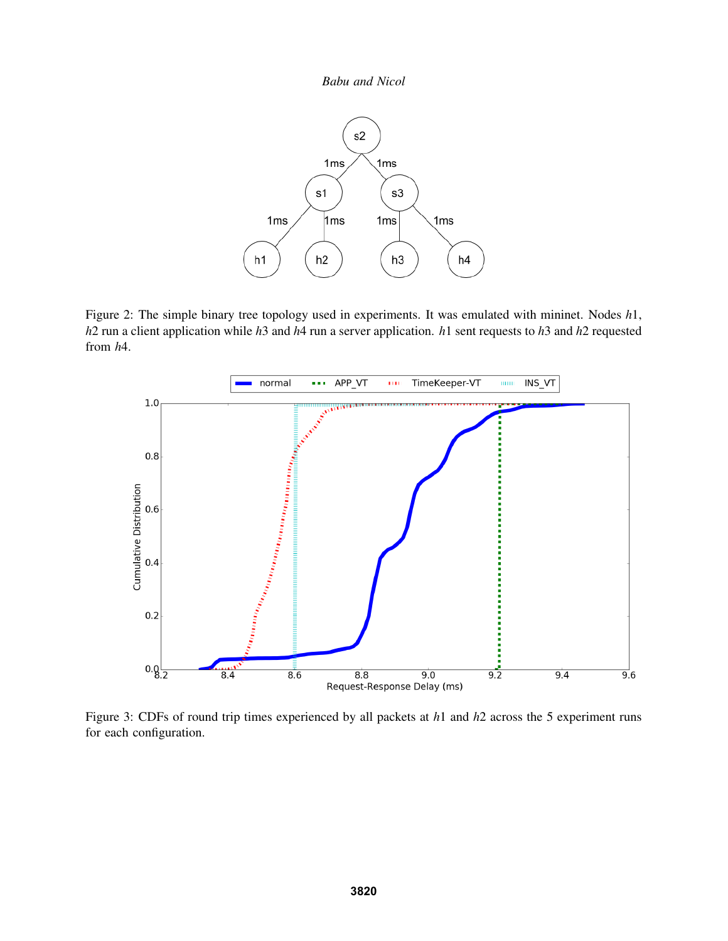

Figure 2: The simple binary tree topology used in experiments. It was emulated with mininet. Nodes *h*1, *h*2 run a client application while *h*3 and *h*4 run a server application. *h*1 sent requests to *h*3 and *h*2 requested from *h*4.



Figure 3: CDFs of round trip times experienced by all packets at *h*1 and *h*2 across the 5 experiment runs for each configuration.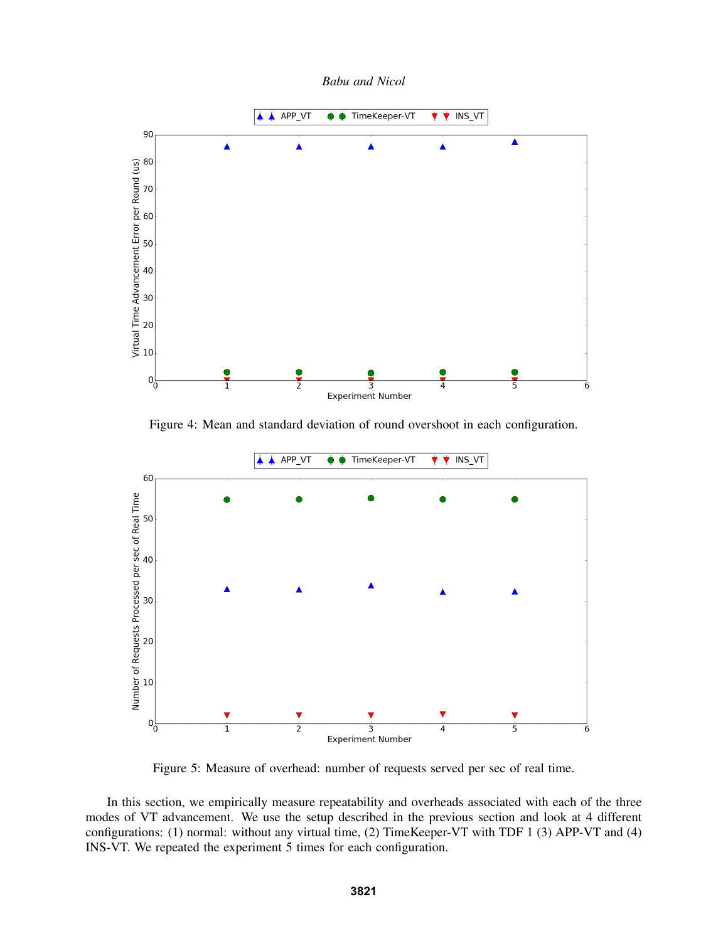*Babu and Nicol*



Figure 4: Mean and standard deviation of round overshoot in each configuration.



Figure 5: Measure of overhead: number of requests served per sec of real time.

In this section, we empirically measure repeatability and overheads associated with each of the three modes of VT advancement. We use the setup described in the previous section and look at 4 different configurations: (1) normal: without any virtual time, (2) TimeKeeper-VT with TDF 1 (3) APP-VT and (4) INS-VT. We repeated the experiment 5 times for each configuration.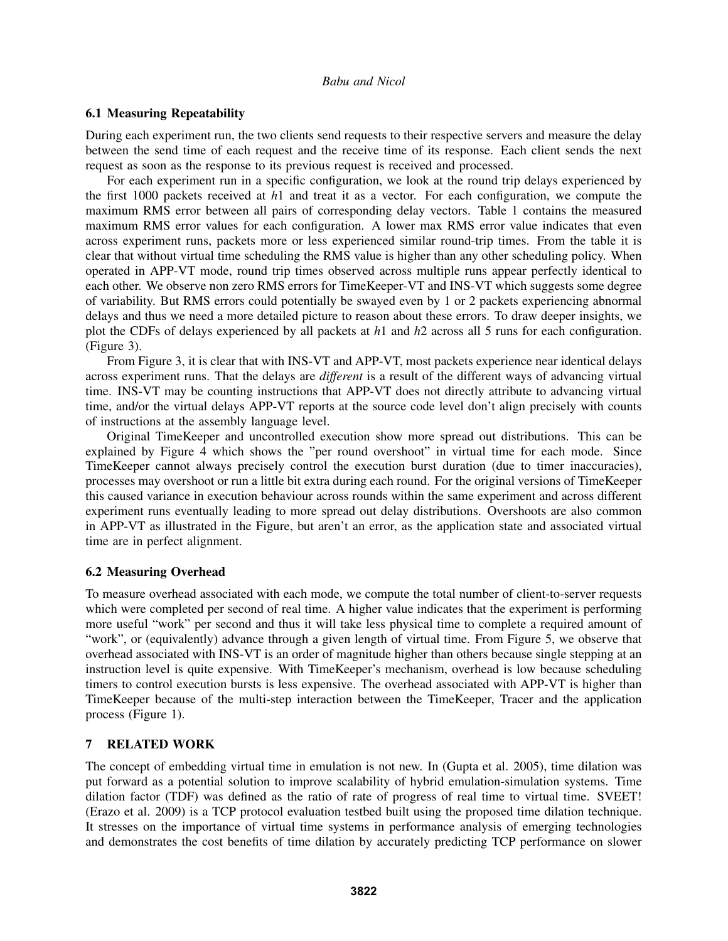## 6.1 Measuring Repeatability

During each experiment run, the two clients send requests to their respective servers and measure the delay between the send time of each request and the receive time of its response. Each client sends the next request as soon as the response to its previous request is received and processed.

For each experiment run in a specific configuration, we look at the round trip delays experienced by the first 1000 packets received at *h*1 and treat it as a vector. For each configuration, we compute the maximum RMS error between all pairs of corresponding delay vectors. Table 1 contains the measured maximum RMS error values for each configuration. A lower max RMS error value indicates that even across experiment runs, packets more or less experienced similar round-trip times. From the table it is clear that without virtual time scheduling the RMS value is higher than any other scheduling policy. When operated in APP-VT mode, round trip times observed across multiple runs appear perfectly identical to each other. We observe non zero RMS errors for TimeKeeper-VT and INS-VT which suggests some degree of variability. But RMS errors could potentially be swayed even by 1 or 2 packets experiencing abnormal delays and thus we need a more detailed picture to reason about these errors. To draw deeper insights, we plot the CDFs of delays experienced by all packets at *h*1 and *h*2 across all 5 runs for each configuration. (Figure 3).

From Figure 3, it is clear that with INS-VT and APP-VT, most packets experience near identical delays across experiment runs. That the delays are *different* is a result of the different ways of advancing virtual time. INS-VT may be counting instructions that APP-VT does not directly attribute to advancing virtual time, and/or the virtual delays APP-VT reports at the source code level don't align precisely with counts of instructions at the assembly language level.

Original TimeKeeper and uncontrolled execution show more spread out distributions. This can be explained by Figure 4 which shows the "per round overshoot" in virtual time for each mode. Since TimeKeeper cannot always precisely control the execution burst duration (due to timer inaccuracies), processes may overshoot or run a little bit extra during each round. For the original versions of TimeKeeper this caused variance in execution behaviour across rounds within the same experiment and across different experiment runs eventually leading to more spread out delay distributions. Overshoots are also common in APP-VT as illustrated in the Figure, but aren't an error, as the application state and associated virtual time are in perfect alignment.

## 6.2 Measuring Overhead

To measure overhead associated with each mode, we compute the total number of client-to-server requests which were completed per second of real time. A higher value indicates that the experiment is performing more useful "work" per second and thus it will take less physical time to complete a required amount of "work", or (equivalently) advance through a given length of virtual time. From Figure 5, we observe that overhead associated with INS-VT is an order of magnitude higher than others because single stepping at an instruction level is quite expensive. With TimeKeeper's mechanism, overhead is low because scheduling timers to control execution bursts is less expensive. The overhead associated with APP-VT is higher than TimeKeeper because of the multi-step interaction between the TimeKeeper, Tracer and the application process (Figure 1).

## 7 RELATED WORK

The concept of embedding virtual time in emulation is not new. In (Gupta et al. 2005), time dilation was put forward as a potential solution to improve scalability of hybrid emulation-simulation systems. Time dilation factor (TDF) was defined as the ratio of rate of progress of real time to virtual time. SVEET! (Erazo et al. 2009) is a TCP protocol evaluation testbed built using the proposed time dilation technique. It stresses on the importance of virtual time systems in performance analysis of emerging technologies and demonstrates the cost benefits of time dilation by accurately predicting TCP performance on slower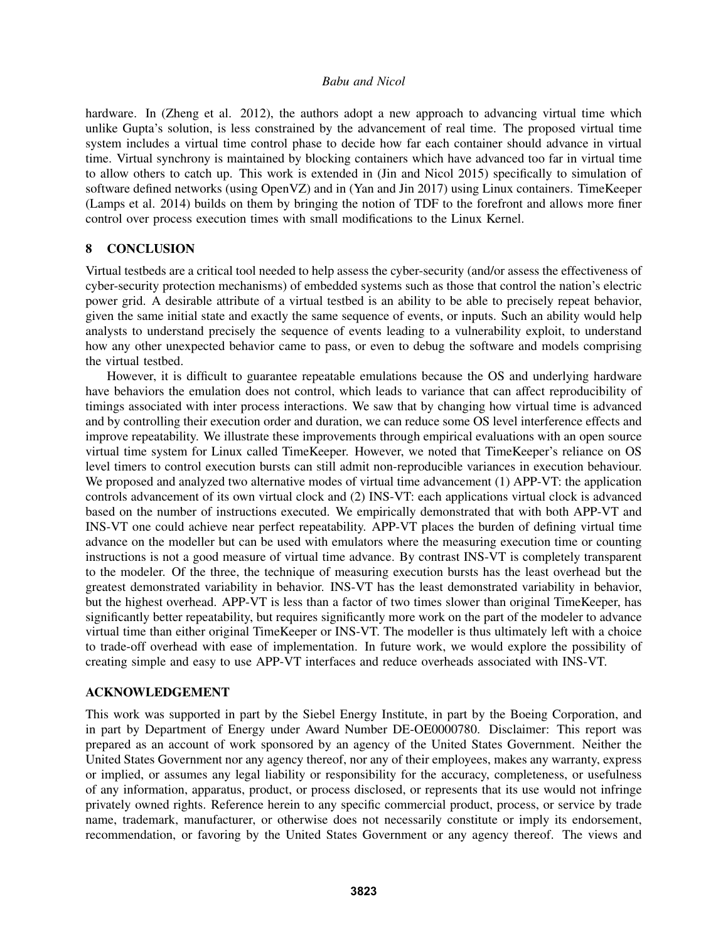hardware. In (Zheng et al. 2012), the authors adopt a new approach to advancing virtual time which unlike Gupta's solution, is less constrained by the advancement of real time. The proposed virtual time system includes a virtual time control phase to decide how far each container should advance in virtual time. Virtual synchrony is maintained by blocking containers which have advanced too far in virtual time to allow others to catch up. This work is extended in (Jin and Nicol 2015) specifically to simulation of software defined networks (using OpenVZ) and in (Yan and Jin 2017) using Linux containers. TimeKeeper (Lamps et al. 2014) builds on them by bringing the notion of TDF to the forefront and allows more finer control over process execution times with small modifications to the Linux Kernel.

## 8 CONCLUSION

Virtual testbeds are a critical tool needed to help assess the cyber-security (and/or assess the effectiveness of cyber-security protection mechanisms) of embedded systems such as those that control the nation's electric power grid. A desirable attribute of a virtual testbed is an ability to be able to precisely repeat behavior, given the same initial state and exactly the same sequence of events, or inputs. Such an ability would help analysts to understand precisely the sequence of events leading to a vulnerability exploit, to understand how any other unexpected behavior came to pass, or even to debug the software and models comprising the virtual testbed.

However, it is difficult to guarantee repeatable emulations because the OS and underlying hardware have behaviors the emulation does not control, which leads to variance that can affect reproducibility of timings associated with inter process interactions. We saw that by changing how virtual time is advanced and by controlling their execution order and duration, we can reduce some OS level interference effects and improve repeatability. We illustrate these improvements through empirical evaluations with an open source virtual time system for Linux called TimeKeeper. However, we noted that TimeKeeper's reliance on OS level timers to control execution bursts can still admit non-reproducible variances in execution behaviour. We proposed and analyzed two alternative modes of virtual time advancement (1) APP-VT: the application controls advancement of its own virtual clock and (2) INS-VT: each applications virtual clock is advanced based on the number of instructions executed. We empirically demonstrated that with both APP-VT and INS-VT one could achieve near perfect repeatability. APP-VT places the burden of defining virtual time advance on the modeller but can be used with emulators where the measuring execution time or counting instructions is not a good measure of virtual time advance. By contrast INS-VT is completely transparent to the modeler. Of the three, the technique of measuring execution bursts has the least overhead but the greatest demonstrated variability in behavior. INS-VT has the least demonstrated variability in behavior, but the highest overhead. APP-VT is less than a factor of two times slower than original TimeKeeper, has significantly better repeatability, but requires significantly more work on the part of the modeler to advance virtual time than either original TimeKeeper or INS-VT. The modeller is thus ultimately left with a choice to trade-off overhead with ease of implementation. In future work, we would explore the possibility of creating simple and easy to use APP-VT interfaces and reduce overheads associated with INS-VT.

## ACKNOWLEDGEMENT

This work was supported in part by the Siebel Energy Institute, in part by the Boeing Corporation, and in part by Department of Energy under Award Number DE-OE0000780. Disclaimer: This report was prepared as an account of work sponsored by an agency of the United States Government. Neither the United States Government nor any agency thereof, nor any of their employees, makes any warranty, express or implied, or assumes any legal liability or responsibility for the accuracy, completeness, or usefulness of any information, apparatus, product, or process disclosed, or represents that its use would not infringe privately owned rights. Reference herein to any specific commercial product, process, or service by trade name, trademark, manufacturer, or otherwise does not necessarily constitute or imply its endorsement, recommendation, or favoring by the United States Government or any agency thereof. The views and